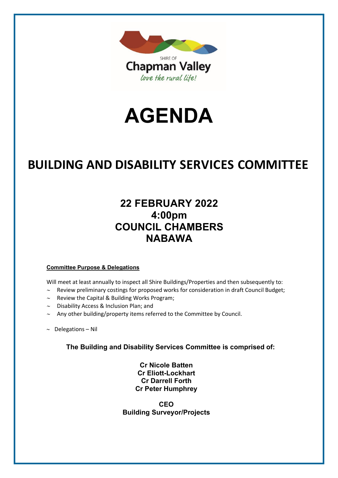

# **AGENDA**

# **BUILDING AND DISABILITY SERVICES COMMITTEE**

# **22 FEBRUARY 2022 4:00pm COUNCIL CHAMBERS NABAWA**

#### **Committee Purpose & Delegations**

Will meet at least annually to inspect all Shire Buildings/Properties and then subsequently to:

- ∼ Review preliminary costings for proposed works for consideration in draft Council Budget;
- ∼ Review the Capital & Building Works Program;
- ∼ Disability Access & Inclusion Plan; and
- ∼ Any other building/property items referred to the Committee by Council.
- ∼ Delegations Nil

**The Building and Disability Services Committee is comprised of:**

**Cr Nicole Batten Cr Eliott-Lockhart Cr Darrell Forth Cr Peter Humphrey**

**CEO Building Surveyor/Projects**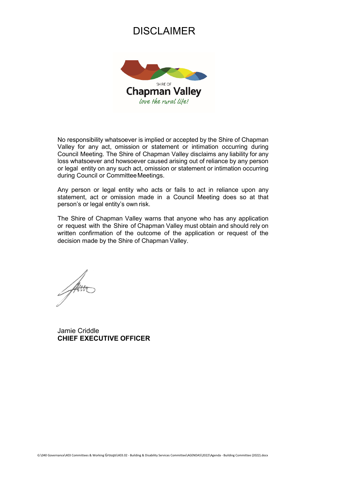## DISCLAIMER



No responsibility whatsoever is implied or accepted by the Shire of Chapman Valley for any act, omission or statement or intimation occurring during Council Meeting. The Shire of Chapman Valley disclaims any liability for any loss whatsoever and howsoever caused arising out of reliance by any person or legal entity on any such act, omission or statement or intimation occurring during Council or Committee Meetings.

Any person or legal entity who acts or fails to act in reliance upon any statement, act or omission made in a Council Meeting does so at that person's or legal entity's own risk.

The Shire of Chapman Valley warns that anyone who has any application or request with the Shire of Chapman Valley must obtain and should rely on written confirmation of the outcome of the application or request of the decision made by the Shire of Chapman Valley.

Jamie Criddle **CHIEF EXECUTIVE OFFICER**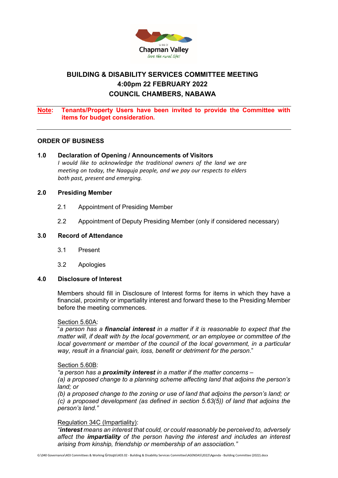

### **BUILDING & DISABILITY SERVICES COMMITTEE MEETING 4:00pm 22 FEBRUARY 2022 COUNCIL CHAMBERS, NABAWA**

#### **Note: Tenants/Property Users have been invited to provide the Committee with items for budget consideration.**

#### **ORDER OF BUSINESS**

#### **1.0 Declaration of Opening / Announcements of Visitors**

*I would like to acknowledge the traditional owners of the land we are meeting on today, the Naaguja people, and we pay our respects to elders both past, present and emerging.*

#### **2.0 Presiding Member**

- 2.1 Appointment of Presiding Member
- 2.2 Appointment of Deputy Presiding Member (only if considered necessary)

#### **3.0 Record of Attendance**

- 3.1 Present
- 3.2 Apologies

#### **4.0 Disclosure of Interest**

Members should fill in Disclosure of Interest forms for items in which they have a financial, proximity or impartiality interest and forward these to the Presiding Member before the meeting commences.

#### Section 5.60A:

"*a person has a financial interest in a matter if it is reasonable to expect that the matter will, if dealt with by the local government, or an employee or committee of the local government or member of the council of the local government, in a particular way, result in a financial gain, loss, benefit or detriment for the person*."

#### Section 5.60B:

*"a person has a proximity interest in a matter if the matter concerns –*

*(a) a proposed change to a planning scheme affecting land that adjoins the person's land; or* 

*(b) a proposed change to the zoning or use of land that adjoins the person's land; or (c) a proposed development (as defined in section 5.63(5)) of land that adjoins the person's land."* 

#### Regulation 34C (Impartiality):

*"interest means an interest that could, or could reasonably be perceived to, adversely affect the impartiality of the person having the interest and includes an interest arising from kinship, friendship or membership of an association."*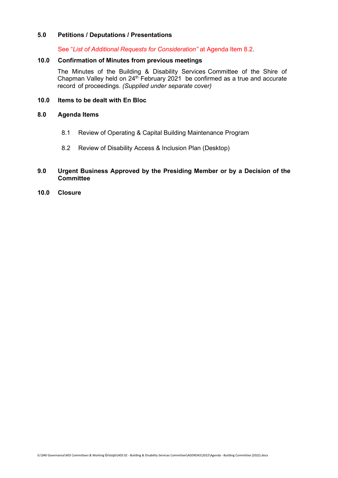#### **5.0 Petitions / Deputations / Presentations**

See "*List of Additional Requests for Consideration"* at Agenda Item 8.2.

#### **10.0 Confirmation of Minutes from previous meetings**

The Minutes of the Building & Disability Services Committee of the Shire of Chapman Valley held on  $24<sup>th</sup>$  February 2021 be confirmed as a true and accurate record of proceedings. *(Supplied under separate cover)*

#### **10.0 Items to be dealt with En Bloc**

#### **8.0 Agenda Items**

- 8.1 Review of Operating & Capital Building Maintenance Program
- 8.2 Review of Disability Access & Inclusion Plan (Desktop)

#### **9.0 Urgent Business Approved by the Presiding Member or by a Decision of the Committee**

**10.0 Closure**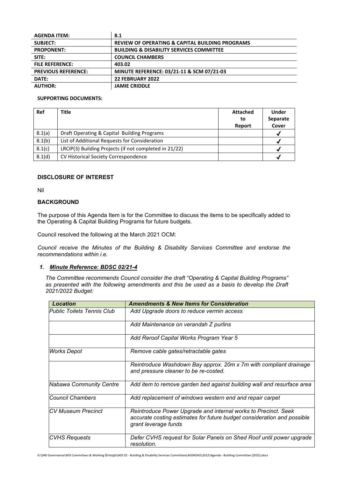| <b>AGENDA ITEM:</b>        | 8.1                                                        |
|----------------------------|------------------------------------------------------------|
| <b>SUBJECT:</b>            | <b>REVIEW OF OPERATING &amp; CAPITAL BUILDING PROGRAMS</b> |
| <b>PROPONENT:</b>          | <b>BUILDING &amp; DISABILITY SERVICES COMMITTEE</b>        |
| SITE:                      | <b>COUNCIL CHAMBERS</b>                                    |
| <b>FILE REFERENCE:</b>     | 403.02                                                     |
| <b>PREVIOUS REFERENCE:</b> | MINUTE REFERENCE: 03/21-11 & SCM 07/21-03                  |
| DATE:                      | 22 FEBRUARY 2022                                           |
| <b>AUTHOR:</b>             | <b>JAMIE CRIDDLE</b>                                       |

#### **SUPPORTING DOCUMENTS:**

| Ref    | <b>Title</b>                                           | <b>Attached</b><br>to<br>Report | <b>Under</b><br>Separate<br>Cover |
|--------|--------------------------------------------------------|---------------------------------|-----------------------------------|
| 8.1(a) | Draft Operating & Capital Building Programs            |                                 |                                   |
| 8.1(b) | List of Additional Requests for Consideration          |                                 |                                   |
| 8.1(c) | LRCIP(3) Building Projects (if not completed in 21/22) |                                 |                                   |
| 8.1(d) | CV Historical Society Correspondence                   |                                 |                                   |

#### **DISCLOSURE OF INTEREST**

Nil

#### **BACKGROUND**

The purpose of this Agenda Item is for the Committee to discuss the items to be specifically added to the Operating & Capital Building Programs for future budgets.

Council resolved the following at the March 2021 OCM:

*Council receive the Minutes of the Building & Disability Services Committee and endorse the recommendations within i.e.*

#### *1. Minute Reference: BDSC 02/21-4*

*The Committee recommends Council consider the draft "Operating & Capital Building Programs" as presented with the following amendments and this be used as a basis to develop the Draft 2021/2022 Budget:*

| Location                          | <b>Amendments &amp; New Items for Consideration</b>                                                                                                               |
|-----------------------------------|-------------------------------------------------------------------------------------------------------------------------------------------------------------------|
| <b>Public Toilets Tennis Club</b> | Add Upgrade doors to reduce vermin access                                                                                                                         |
|                                   | Add Maintenance on verandah Z purlins                                                                                                                             |
|                                   | Add Reroof Capital Works Program Year 5                                                                                                                           |
| Works Depot                       | Remove cable gates/retractable gates                                                                                                                              |
|                                   | Reintroduce Washdown Bay approx. 20m x 7m with compliant drainage<br>and pressure cleaner to be re-costed.                                                        |
| <b>Nabawa Community Centre</b>    | Add item to remove garden bed against building wall and resurface area                                                                                            |
| lCouncil Chambers                 | Add replacement of windows western end and repair carpet                                                                                                          |
| ICV Museum Precinct               | Reintroduce Power Upgrade and internal works to Precinct. Seek<br>accurate costing estimates for future budget consideration and possible<br>grant leverage funds |
| <b>CVHS Requests</b>              | Defer CVHS request for Solar Panels on Shed Roof until power upgrade<br>resolution.                                                                               |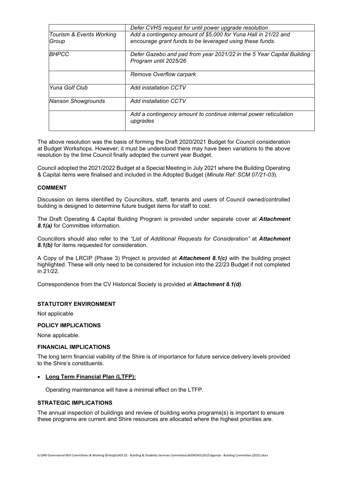|                                   | Defer CVHS request for until power upgrade resolution                                                                      |
|-----------------------------------|----------------------------------------------------------------------------------------------------------------------------|
| Tourism & Events Working<br>Group | Add a contingency amount of \$5,000 for Yuna Hall in 21/22 and<br>encourage grant funds to be leveraged using these funds. |
| <b>BHPCC</b>                      | Defer Gazebo and pad from year 2021/22 in the 5 Year Capital Building<br>Program until 2025/26                             |
|                                   | Remove Overflow carpark                                                                                                    |
| Yuna Golf Club                    | Add installation CCTV                                                                                                      |
| <b>Nanson Showgrounds</b>         | Add installation CCTV                                                                                                      |
|                                   | Add a contingency amount to continue internal power reticulation<br>upgrades                                               |

The above resolution was the basis of forming the Draft 2020/2021 Budget for Council consideration at Budget Workshops. However; it must be understood there may have been variations to the above resolution by the time Council finally adopted the current year Budget.

Council adopted the 2021/2022 Budget at a Special Meeting in July 2021 where the Building Operating & Capital items were finalised and included in the Adopted Budget (*Minute Ref: SCM 07/21-03*).

#### **COMMENT**

Discussion on items identified by Councillors, staff, tenants and users of Council owned/controlled building is designed to determine future budget items for staff to cost.

The Draft Operating & Capital Building Program is provided under separate cover at *Attachment 8.1(a)* for Committee information.

Councillors should also refer to the *"List of Additional Requests for Consideration"* at *Attachment 8.1(b)* for items requested for consideration.

A Copy of the LRCIP (Phase 3) Project is provided at *Attachment 8.1(c)* with the building project highlighted. These will only need to be considered for inclusion into the 22/23 Budget if not completed in 21/22.

Correspondence from the CV Historical Society is provided at *Attachment 8.1(d)*.

#### **STATUTORY ENVIRONMENT**

Not applicable

#### **POLICY IMPLICATIONS**

None applicable.

#### **FINANCIAL IMPLICATIONS**

The long term financial viability of the Shire is of importance for future service delivery levels provided to the Shire's constituents.

#### • **Long Term Financial Plan (LTFP):**

Operating maintenance will have a minimal effect on the LTFP.

#### **STRATEGIC IMPLICATIONS**

The annual inspection of buildings and review of building works programs(s) is important to ensure these programs are current and Shire resources are allocated where the highest priorities are.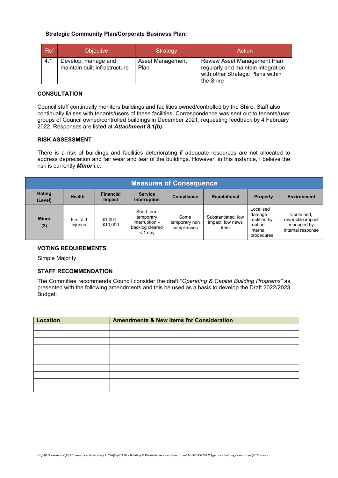#### **Strategic Community Plan/Corporate Business Plan:**

| <b>Ref</b> | <b>Objective</b>                                     | Strategy                        | Action                                                                                                               |
|------------|------------------------------------------------------|---------------------------------|----------------------------------------------------------------------------------------------------------------------|
| 4.1        | Develop, manage and<br>maintain built infrastructure | <b>Asset Management</b><br>Plan | Review Asset Management Plan<br>regularly and maintain integration<br>with other Strategic Plans within<br>the Shire |

#### **CONSULTATION**

Council staff continually monitors buildings and facilities owned/controlled by the Shire. Staff also continually liaises with tenants/users of these facilities. Correspondence was sent out to tenants/user groups of Council owned/controlled buildings in December 2021, requesting feedback by 4 February 2022. Responses are listed at *Attachment 8.1(b).*

#### **RISK ASSESSMENT**

There is a risk of buildings and facilities deteriorating if adequate resources are not allocated to address depreciation and fair wear and tear of the buildings. However; in this instance, I believe the risk is currently *Minor* i.e.

| <b>Measures of Consequence</b>                                                                                                                             |                       |                        |                                                                             |                                      |                                                |                                                                          |                                                                    |
|------------------------------------------------------------------------------------------------------------------------------------------------------------|-----------------------|------------------------|-----------------------------------------------------------------------------|--------------------------------------|------------------------------------------------|--------------------------------------------------------------------------|--------------------------------------------------------------------|
| Rating<br><b>Service</b><br><b>Financial</b><br><b>Health</b><br><b>Reputational</b><br>Compliance<br><b>Property</b><br>Interruption<br>Impact<br>(Level) |                       |                        |                                                                             |                                      |                                                |                                                                          | <b>Environment</b>                                                 |
| <b>Minor</b><br>(2)                                                                                                                                        | First aid<br>injuries | $$1,001 -$<br>\$10,000 | Short term<br>temporary<br>interruption $-$<br>backlog cleared<br>$<$ 1 day | Some<br>temporary non<br>compliances | Substantiated, low<br>impact, low news<br>item | Localised<br>damage<br>rectified by<br>routine<br>internal<br>procedures | Contained,<br>reversible impact<br>managed by<br>internal response |

#### **VOTING REQUIREMENTS**

Simple Majority

#### **STAFF RECOMMENDATION**

The Committee recommends Council consider the draft "*Operating & Capital Building Programs"* as presented with the following amendments and this be used as a basis to develop the Draft 2022/2023 Budget:

| <b>Location</b> | <b>Amendments &amp; New Items for Consideration</b> |
|-----------------|-----------------------------------------------------|
|                 |                                                     |
|                 |                                                     |
|                 |                                                     |
|                 |                                                     |
|                 |                                                     |
|                 |                                                     |
|                 |                                                     |
|                 |                                                     |
|                 |                                                     |
|                 |                                                     |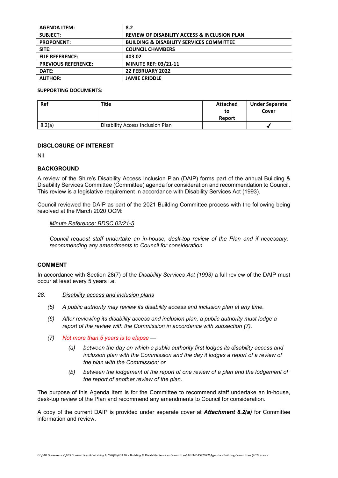| <b>AGENDA ITEM:</b>        | 8.2                                                     |
|----------------------------|---------------------------------------------------------|
| <b>SUBJECT:</b>            | <b>REVIEW OF DISABILITY ACCESS &amp; INCLUSION PLAN</b> |
| <b>PROPONENT:</b>          | <b>BUILDING &amp; DISABILITY SERVICES COMMITTEE</b>     |
| SITE:                      | <b>COUNCIL CHAMBERS</b>                                 |
| <b>FILE REFERENCE:</b>     | 403.02                                                  |
| <b>PREVIOUS REFERENCE:</b> | <b>MINUTE REF: 03/21-11</b>                             |
| DATE:                      | <b>22 FEBRUARY 2022</b>                                 |
| <b>AUTHOR:</b>             | <b>JAMIE CRIDDLE</b>                                    |

#### **SUPPORTING DOCUMENTS:**

| Ref    | Title                            | <b>Attached</b><br>to | <b>Under Separate</b><br>Cover |
|--------|----------------------------------|-----------------------|--------------------------------|
|        |                                  | Report                |                                |
| 8.2(a) | Disability Access Inclusion Plan |                       | $\bullet$                      |

#### **DISCLOSURE OF INTEREST**

Nil

#### **BACKGROUND**

A review of the Shire's Disability Access Inclusion Plan (DAIP) forms part of the annual Building & Disability Services Committee (Committee) agenda for consideration and recommendation to Council. This review is a legislative requirement in accordance with Disability Services Act (1993).

Council reviewed the DAIP as part of the 2021 Building Committee process with the following being resolved at the March 2020 OCM:

#### *Minute Reference: BDSC 02/21-5*

*Council request staff undertake an in-house, desk-top review of the Plan and if necessary, recommending any amendments to Council for consideration.*

#### **COMMENT**

In accordance with Section 28(7) of the *Disability Services Act (1993)* a full review of the DAIP must occur at least every 5 years i.e.

#### *28. Disability access and inclusion plans*

- *(5) A public authority may review its disability access and inclusion plan at any time.*
- *(6) After reviewing its disability access and inclusion plan, a public authority must lodge a report of the review with the Commission in accordance with subsection (7).*
- *(7) Not more than 5 years is to elapse —*
	- *(a) between the day on which a public authority first lodges its disability access and inclusion plan with the Commission and the day it lodges a report of a review of the plan with the Commission; or*
	- *(b) between the lodgement of the report of one review of a plan and the lodgement of the report of another review of the plan.*

The purpose of this Agenda Item is for the Committee to recommend staff undertake an in-house, desk-top review of the Plan and recommend any amendments to Council for consideration.

A copy of the current DAIP is provided under separate cover at *Attachment 8.2(a)* for Committee information and review.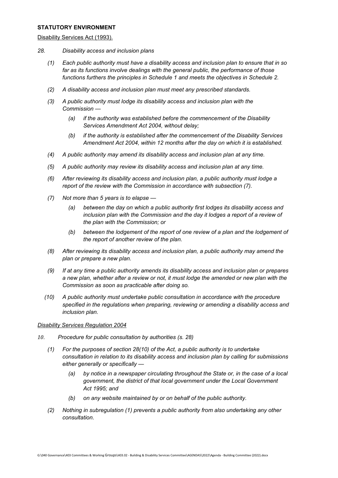#### **STATUTORY ENVIRONMENT**

#### Disability Services Act (1993).

- *28. Disability access and inclusion plans*
	- *(1) Each public authority must have a disability access and inclusion plan to ensure that in so far as its functions involve dealings with the general public, the performance of those functions furthers the principles in Schedule 1 and meets the objectives in Schedule 2.*
	- *(2) A disability access and inclusion plan must meet any prescribed standards.*
	- *(3) A public authority must lodge its disability access and inclusion plan with the Commission —*
		- *(a) if the authority was established before the commencement of the Disability Services Amendment Act 2004, without delay;*
		- *(b) if the authority is established after the commencement of the Disability Services Amendment Act 2004, within 12 months after the day on which it is established.*
	- *(4) A public authority may amend its disability access and inclusion plan at any time.*
	- *(5) A public authority may review its disability access and inclusion plan at any time.*
	- *(6) After reviewing its disability access and inclusion plan, a public authority must lodge a report of the review with the Commission in accordance with subsection (7).*
	- *(7) Not more than 5 years is to elapse —*
		- *(a) between the day on which a public authority first lodges its disability access and inclusion plan with the Commission and the day it lodges a report of a review of the plan with the Commission; or*
		- *(b) between the lodgement of the report of one review of a plan and the lodgement of the report of another review of the plan.*
	- *(8) After reviewing its disability access and inclusion plan, a public authority may amend the plan or prepare a new plan.*
	- *(9) If at any time a public authority amends its disability access and inclusion plan or prepares a new plan, whether after a review or not, it must lodge the amended or new plan with the Commission as soon as practicable after doing so.*
	- *(10) A public authority must undertake public consultation in accordance with the procedure specified in the regulations when preparing, reviewing or amending a disability access and inclusion plan.*

#### *Disability Services Regulation 2004*

- *10. Procedure for public consultation by authorities (s. 28)*
	- *(1) For the purposes of section 28(10) of the Act, a public authority is to undertake consultation in relation to its disability access and inclusion plan by calling for submissions either generally or specifically —*
		- *(a) by notice in a newspaper circulating throughout the State or, in the case of a local government, the district of that local government under the Local Government Act 1995; and*
		- *(b) on any website maintained by or on behalf of the public authority.*
	- *(2) Nothing in subregulation (1) prevents a public authority from also undertaking any other consultation.*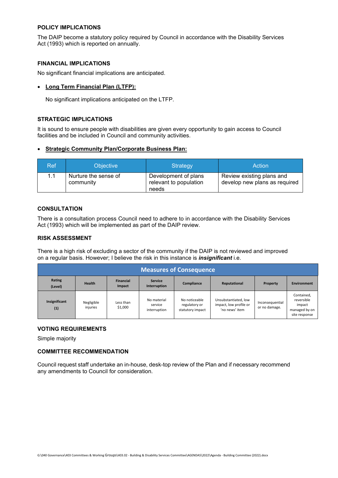#### **POLICY IMPLICATIONS**

The DAIP become a statutory policy required by Council in accordance with the Disability Services Act (1993) which is reported on annually.

#### **FINANCIAL IMPLICATIONS**

No significant financial implications are anticipated.

#### • **Long Term Financial Plan (LTFP):**

No significant implications anticipated on the LTFP.

#### **STRATEGIC IMPLICATIONS**

It is sound to ensure people with disabilities are given every opportunity to gain access to Council facilities and be included in Council and community activities.

#### • **Strategic Community Plan/Corporate Business Plan:**

| Ref' | <b>Objective</b>                  | <b>Strategy</b>                                         | Action                                                     |
|------|-----------------------------------|---------------------------------------------------------|------------------------------------------------------------|
| 1.1  | Nurture the sense of<br>community | Development of plans<br>relevant to population<br>needs | Review existing plans and<br>develop new plans as required |

#### **CONSULTATION**

There is a consultation process Council need to adhere to in accordance with the Disability Services Act (1993) which will be implemented as part of the DAIP review.

#### **RISK ASSESSMENT**

There is a high risk of excluding a sector of the community if the DAIP is not reviewed and improved on a regular basis. However; I believe the risk in this instance is *insignificant* i.e.

| <b>Measures of Consequence</b>                                                                                                                              |                        |                      |                                        |                                                    |                                                                  |                                  |                                                                      |
|-------------------------------------------------------------------------------------------------------------------------------------------------------------|------------------------|----------------------|----------------------------------------|----------------------------------------------------|------------------------------------------------------------------|----------------------------------|----------------------------------------------------------------------|
| Rating<br>Financial<br><b>Service</b><br><b>Health</b><br><b>Environment</b><br>Compliance<br>Reputational<br>Property<br>Interruption<br>Impact<br>(Level) |                        |                      |                                        |                                                    |                                                                  |                                  |                                                                      |
| Insignificant<br>(1)                                                                                                                                        | Negligible<br>injuries | Less than<br>\$1,000 | No material<br>service<br>interruption | No noticeable<br>regulatory or<br>statutory impact | Unsubstantiated, low<br>impact, low profile or<br>'no news' item | Inconsequential<br>or no damage. | Contained,<br>reversible<br>impact<br>managed by on<br>site response |

#### **VOTING REQUIREMENTS**

Simple majority

#### **COMMITTEE RECOMMENDATION**

Council request staff undertake an in-house, desk-top review of the Plan and if necessary recommend any amendments to Council for consideration.